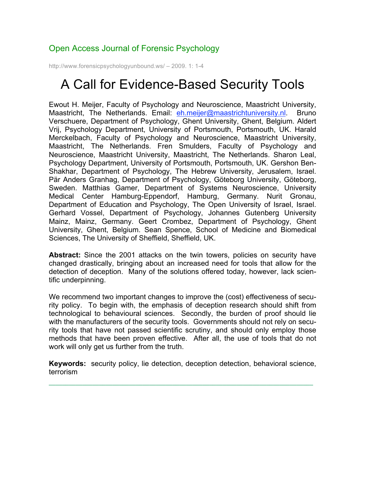## Open Access Journal of Forensic Psychology

http://www.forensicpsychologyunbound.ws/ – 2009. 1: 1-4

## A Call for Evidence-Based Security Tools

Ewout H. Meijer, Faculty of Psychology and Neuroscience, Maastricht University, Maastricht, The Netherlands. Email: eh.meijer@maastrichtuniversity.nl. Bruno Verschuere, Department of Psychology, Ghent University, Ghent, Belgium. Aldert Vrij, Psychology Department, University of Portsmouth, Portsmouth, UK. Harald Merckelbach, Faculty of Psychology and Neuroscience, Maastricht University, Maastricht, The Netherlands. Fren Smulders, Faculty of Psychology and Neuroscience, Maastricht University, Maastricht, The Netherlands. Sharon Leal, Psychology Department, University of Portsmouth, Portsmouth, UK. Gershon Ben-Shakhar, Department of Psychology, The Hebrew University, Jerusalem, Israel. Pär Anders Granhag, Department of Psychology, Göteborg University, Göteborg, Sweden. Matthias Gamer, Department of Systems Neuroscience, University Medical Center Hamburg-Eppendorf, Hamburg, Germany. Nurit Gronau, Department of Education and Psychology, The Open University of Israel, Israel. Gerhard Vossel, Department of Psychology, Johannes Gutenberg University Mainz, Mainz, Germany. Geert Crombez, Department of Psychology, Ghent University, Ghent, Belgium. Sean Spence, School of Medicine and Biomedical Sciences, The University of Sheffield, Sheffield, UK.

**Abstract:** Since the 2001 attacks on the twin towers, policies on security have changed drastically, bringing about an increased need for tools that allow for the detection of deception. Many of the solutions offered today, however, lack scientific underpinning.

We recommend two important changes to improve the (cost) effectiveness of security policy. To begin with, the emphasis of deception research should shift from technological to behavioural sciences. Secondly, the burden of proof should lie with the manufacturers of the security tools. Governments should not rely on security tools that have not passed scientific scrutiny, and should only employ those methods that have been proven effective. After all, the use of tools that do not work will only get us further from the truth.

**Keywords:** security policy, lie detection, deception detection, behavioral science, terrorism

**¯**¯¯¯¯¯¯¯¯¯¯¯¯¯¯¯¯¯¯¯¯¯¨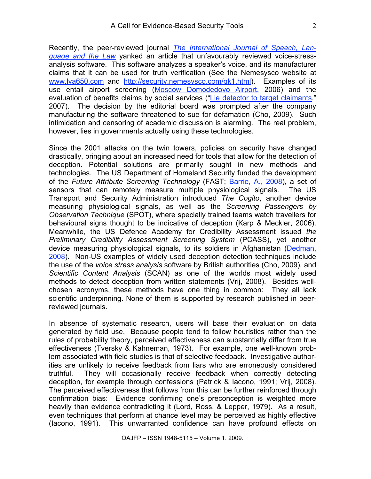Recently, the peer-reviewed journal *The International Journal of Speech, Language and the Law* yanked an article that unfavourably reviewed voice-stressanalysis software. This software analyzes a speaker's voice, and its manufacturer claims that it can be used for truth verification (See the Nemesysco website at www.lva650.com and http://security.nemesysco.com/gk1.html). Examples of its use entail airport screening (Moscow Domodedovo Airport, 2006) and the evaluation of benefits claims by social services ("Lie detector to target claimants," 2007). The decision by the editorial board was prompted after the company manufacturing the software threatened to sue for defamation (Cho, 2009). Such intimidation and censoring of academic discussion is alarming. The real problem, however, lies in governments actually using these technologies.

Since the 2001 attacks on the twin towers, policies on security have changed drastically, bringing about an increased need for tools that allow for the detection of deception. Potential solutions are primarily sought in new methods and technologies. The US Department of Homeland Security funded the development of the *Future Attribute Screening Technology* (FAST; Barrie, A., 2008), a set of sensors that can remotely measure multiple physiological signals. The US Transport and Security Administration introduced *The Cogito*, another device measuring physiological signals, as well as the *Screening Passengers by Observation Technique* (SPOT), where specially trained teams watch travellers for behavioural signs thought to be indicative of deception (Karp & Meckler, 2006). Meanwhile, the US Defence Academy for Credibility Assessment issued *the Preliminary Credibility Assessment Screening System* (PCASS), yet another device measuring physiological signals, to its soldiers in Afghanistan (Dedman, 2008). Non-US examples of widely used deception detection techniques include the use of the *voice stress analysis* software by British authorities (Cho, 2009), and *Scientific Content Analysis* (SCAN) as one of the worlds most widely used methods to detect deception from written statements (Vrij, 2008). Besides wellchosen acronyms, these methods have one thing in common: They all lack scientific underpinning. None of them is supported by research published in peerreviewed journals.

In absence of systematic research, users will base their evaluation on data generated by field use. Because people tend to follow heuristics rather than the rules of probability theory, perceived effectiveness can substantially differ from true effectiveness (Tversky & Kahneman, 1973). For example, one well-known problem associated with field studies is that of selective feedback. Investigative authorities are unlikely to receive feedback from liars who are erroneously considered truthful. They will occasionally receive feedback when correctly detecting deception, for example through confessions (Patrick & Iacono, 1991; Vrij, 2008). The perceived effectiveness that follows from this can be further reinforced through confirmation bias: Evidence confirming one's preconception is weighted more heavily than evidence contradicting it (Lord, Ross, & Lepper, 1979). As a result, even techniques that perform at chance level may be perceived as highly effective (Iacono, 1991). This unwarranted confidence can have profound effects on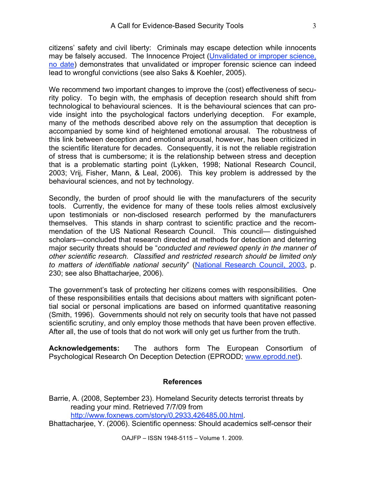citizens' safety and civil liberty: Criminals may escape detection while innocents may be falsely accused. The Innocence Project (Unvalidated or improper science, no date) demonstrates that unvalidated or improper forensic science can indeed lead to wrongful convictions (see also Saks & Koehler, 2005).

We recommend two important changes to improve the (cost) effectiveness of security policy. To begin with, the emphasis of deception research should shift from technological to behavioural sciences. It is the behavioural sciences that can provide insight into the psychological factors underlying deception. For example, many of the methods described above rely on the assumption that deception is accompanied by some kind of heightened emotional arousal. The robustness of this link between deception and emotional arousal, however, has been criticized in the scientific literature for decades. Consequently, it is not the reliable registration of stress that is cumbersome; it is the relationship between stress and deception that is a problematic starting point (Lykken, 1998; National Research Council, 2003; Vrij, Fisher, Mann, & Leal, 2006). This key problem is addressed by the behavioural sciences, and not by technology.

Secondly, the burden of proof should lie with the manufacturers of the security tools. Currently, the evidence for many of these tools relies almost exclusively upon testimonials or non-disclosed research performed by the manufacturers themselves. This stands in sharp contrast to scientific practice and the recommendation of the US National Research Council. This council— distinguished scholars—concluded that research directed at methods for detection and deterring major security threats should be "*conducted and reviewed openly in the manner of other scientific research. Classified and restricted research should be limited only to matters of identifiable national security*" (National Research Council, 2003, p. 230; see also Bhattacharjee, 2006).

The government's task of protecting her citizens comes with responsibilities. One of these responsibilities entails that decisions about matters with significant potential social or personal implications are based on informed quantitative reasoning (Smith, 1996). Governments should not rely on security tools that have not passed scientific scrutiny, and only employ those methods that have been proven effective. After all, the use of tools that do not work will only get us further from the truth.

**Acknowledgements:** The authors form The European Consortium of Psychological Research On Deception Detection (EPRODD; www.eprodd.net).

## **References**

Barrie, A. (2008, September 23). Homeland Security detects terrorist threats by reading your mind. Retrieved 7/7/09 from http://www.foxnews.com/story/0,2933,426485,00.html.

Bhattacharjee, Y. (2006). Scientific openness: Should academics self-censor their

OAJFP – ISSN 1948-5115 – Volume 1. 2009.